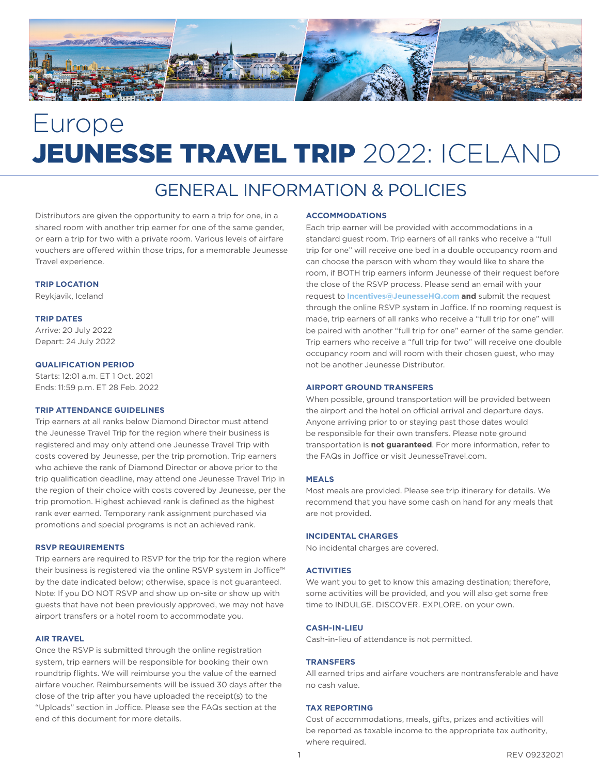

# Europe JEUNESSE TRAVEL TRIP 2022: ICELAND

## GENERAL INFORMATION & POLICIES

Distributors are given the opportunity to earn a trip for one, in a shared room with another trip earner for one of the same gender, or earn a trip for two with a private room. Various levels of airfare vouchers are offered within those trips, for a memorable Jeunesse Travel experience.

#### **TRIP LOCATION**

Reykjavik, Iceland

#### **TRIP DATES**

Arrive: 20 July 2022 Depart: 24 July 2022

#### **QUALIFICATION PERIOD**

Starts: 12:01 a.m. ET 1 Oct. 2021 Ends: 11:59 p.m. ET 28 Feb. 2022

#### **TRIP ATTENDANCE GUIDELINES**

Trip earners at all ranks below Diamond Director must attend the Jeunesse Travel Trip for the region where their business is registered and may only attend one Jeunesse Travel Trip with costs covered by Jeunesse, per the trip promotion. Trip earners who achieve the rank of Diamond Director or above prior to the trip qualification deadline, may attend one Jeunesse Travel Trip in the region of their choice with costs covered by Jeunesse, per the trip promotion. Highest achieved rank is defined as the highest rank ever earned. Temporary rank assignment purchased via promotions and special programs is not an achieved rank.

#### **RSVP REQUIREMENTS**

Trip earners are required to RSVP for the trip for the region where their business is registered via the online RSVP system in Joffice™ by the date indicated below; otherwise, space is not guaranteed. Note: If you DO NOT RSVP and show up on-site or show up with guests that have not been previously approved, we may not have airport transfers or a hotel room to accommodate you.

#### **AIR TRAVEL**

Once the RSVP is submitted through the online registration system, trip earners will be responsible for booking their own roundtrip flights. We will reimburse you the value of the earned airfare voucher. Reimbursements will be issued 30 days after the close of the trip after you have uploaded the receipt(s) to the "Uploads" section in Joffice. Please see the FAQs section at the end of this document for more details.

#### **ACCOMMODATIONS**

Each trip earner will be provided with accommodations in a standard guest room. Trip earners of all ranks who receive a "full trip for one" will receive one bed in a double occupancy room and can choose the person with whom they would like to share the room, if BOTH trip earners inform Jeunesse of their request before the close of the RSVP process. Please send an email with your request to **Incentives@JeunesseHQ.com and** submit the request through the online RSVP system in Joffice. If no rooming request is made, trip earners of all ranks who receive a "full trip for one" will be paired with another "full trip for one" earner of the same gender. Trip earners who receive a "full trip for two" will receive one double occupancy room and will room with their chosen guest, who may not be another Jeunesse Distributor.

#### **AIRPORT GROUND TRANSFERS**

When possible, ground transportation will be provided between the airport and the hotel on official arrival and departure days. Anyone arriving prior to or staying past those dates would be responsible for their own transfers. Please note ground transportation is **not guaranteed**. For more information, refer to the FAQs in Joffice or visit JeunesseTravel.com.

#### **MEALS**

Most meals are provided. Please see trip itinerary for details. We recommend that you have some cash on hand for any meals that are not provided.

#### **INCIDENTAL CHARGES**

No incidental charges are covered.

#### **ACTIVITIES**

We want you to get to know this amazing destination; therefore, some activities will be provided, and you will also get some free time to INDULGE. DISCOVER. EXPLORE. on your own.

#### **CASH-IN-LIEU**

Cash-in-lieu of attendance is not permitted.

#### **TRANSFERS**

All earned trips and airfare vouchers are nontransferable and have no cash value.

#### **TAX REPORTING**

Cost of accommodations, meals, gifts, prizes and activities will be reported as taxable income to the appropriate tax authority, where required.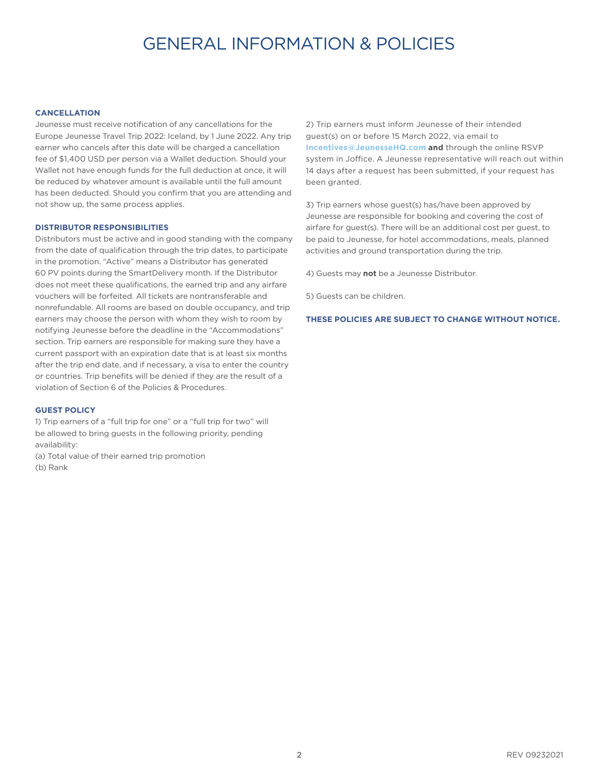## GENERAL INFORMATION & POLICIES

#### **CANCELLATION**

Jeunesse must receive notification of any cancellations for the Europe Jeunesse Travel Trip 2022: Iceland, by 1 June 2022. Any trip earner who cancels after this date will be charged a cancellation fee of \$1,400 USD per person via a Wallet deduction. Should your Wallet not have enough funds for the full deduction at once, it will be reduced by whatever amount is available until the full amount has been deducted. Should you confirm that you are attending and not show up, the same process applies.

#### **DISTRIBUTOR RESPONSIBILITIES**

Distributors must be active and in good standing with the company from the date of qualification through the trip dates, to participate in the promotion. "Active" means a Distributor has generated 60 PV points during the SmartDelivery month. If the Distributor does not meet these qualifications, the earned trip and any airfare vouchers will be forfeited. All tickets are nontransferable and nonrefundable. All rooms are based on double occupancy, and trip earners may choose the person with whom they wish to room by notifying Jeunesse before the deadline in the "Accommodations" section. Trip earners are responsible for making sure they have a current passport with an expiration date that is at least six months after the trip end date, and if necessary, a visa to enter the country or countries. Trip benefits will be denied if they are the result of a violation of Section 6 of the Policies & Procedures.

#### **GUEST POLICY**

1) Trip earners of a "full trip for one" or a "full trip for two" will be allowed to bring guests in the following priority, pending availability:

(a) Total value of their earned trip promotion (b) Rank

2) Trip earners must inform Jeunesse of their intended guest(s) on or before 15 March 2022, via email to **Incentives@JeunesseHQ.com and** through the online RSVP system in Joffice. A Jeunesse representative will reach out within 14 days after a request has been submitted, if your request has been granted.

3) Trip earners whose guest(s) has/have been approved by Jeunesse are responsible for booking and covering the cost of airfare for guest(s). There will be an additional cost per guest, to be paid to Jeunesse, for hotel accommodations, meals, planned activities and ground transportation during the trip.

4) Guests may **not** be a Jeunesse Distributor.

5) Guests can be children.

**THESE POLICIES ARE SUBJECT TO CHANGE WITHOUT NOTICE.**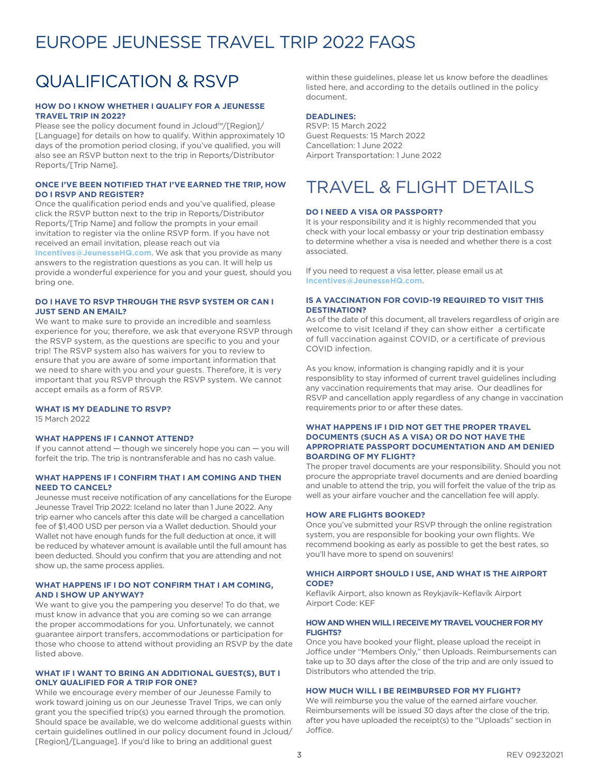## EUROPE JEUNESSE TRAVEL TRIP 2022 FAQS

## QUALIFICATION & RSVP

#### **HOW DO I KNOW WHETHER I QUALIFY FOR A JEUNESSE TRAVEL TRIP IN 2022?**

Please see the policy document found in Jcloud™/[Region]/ [Language] for details on how to qualify. Within approximately 10 days of the promotion period closing, if you've qualified, you will also see an RSVP button next to the trip in Reports/Distributor Reports/[Trip Name].

#### **ONCE I'VE BEEN NOTIFIED THAT I'VE EARNED THE TRIP, HOW DO I RSVP AND REGISTER?**

Once the qualification period ends and you've qualified, please click the RSVP button next to the trip in Reports/Distributor Reports/[Trip Name] and follow the prompts in your email invitation to register via the online RSVP form. If you have not received an email invitation, please reach out via **Incentives@JeunesseHQ.com**. We ask that you provide as many answers to the registration questions as you can. It will help us provide a wonderful experience for you and your guest, should you bring one.

#### **DO I HAVE TO RSVP THROUGH THE RSVP SYSTEM OR CAN I JUST SEND AN EMAIL?**

We want to make sure to provide an incredible and seamless experience for you; therefore, we ask that everyone RSVP through the RSVP system, as the questions are specific to you and your trip! The RSVP system also has waivers for you to review to ensure that you are aware of some important information that we need to share with you and your guests. Therefore, it is very important that you RSVP through the RSVP system. We cannot accept emails as a form of RSVP.

#### **WHAT IS MY DEADLINE TO RSVP?**

15 March 2022

#### **WHAT HAPPENS IF I CANNOT ATTEND?**

If you cannot attend — though we sincerely hope you can — you will forfeit the trip. The trip is nontransferable and has no cash value.

#### **WHAT HAPPENS IF I CONFIRM THAT I AM COMING AND THEN NEED TO CANCEL?**

Jeunesse must receive notification of any cancellations for the Europe Jeunesse Travel Trip 2022: Iceland no later than 1 June 2022. Any trip earner who cancels after this date will be charged a cancellation fee of \$1,400 USD per person via a Wallet deduction. Should your Wallet not have enough funds for the full deduction at once, it will be reduced by whatever amount is available until the full amount has been deducted. Should you confirm that you are attending and not show up, the same process applies.

#### **WHAT HAPPENS IF I DO NOT CONFIRM THAT I AM COMING, AND I SHOW UP ANYWAY?**

We want to give you the pampering you deserve! To do that, we must know in advance that you are coming so we can arrange the proper accommodations for you. Unfortunately, we cannot guarantee airport transfers, accommodations or participation for those who choose to attend without providing an RSVP by the date listed above.

#### **WHAT IF I WANT TO BRING AN ADDITIONAL GUEST(S), BUT I ONLY QUALIFIED FOR A TRIP FOR ONE?**

While we encourage every member of our Jeunesse Family to work toward joining us on our Jeunesse Travel Trips, we can only grant you the specified trip(s) you earned through the promotion. Should space be available, we do welcome additional guests within certain guidelines outlined in our policy document found in Jcloud/ [Region]/[Language]. If you'd like to bring an additional guest

within these guidelines, please let us know before the deadlines listed here, and according to the details outlined in the policy document.

#### **DEADLINES:**

RSVP: 15 March 2022 Guest Requests: 15 March 2022 Cancellation: 1 June 2022 Airport Transportation: 1 June 2022

## TRAVEL & FLIGHT DETAILS

#### **DO I NEED A VISA OR PASSPORT?**

It is your responsibility and it is highly recommended that you check with your local embassy or your trip destination embassy to determine whether a visa is needed and whether there is a cost associated.

If you need to request a visa letter, please email us at **Incentives@JeunesseHQ.com**.

#### **IS A VACCINATION FOR COVID-19 REQUIRED TO VISIT THIS DESTINATION?**

As of the date of this document, all travelers regardless of origin are welcome to visit Iceland if they can show either a certificate of full vaccination against COVID, or a certificate of previous COVID infection.

As you know, information is changing rapidly and it is your responsiblity to stay informed of current travel guidelines including any vaccination requirements that may arise. Our deadlines for RSVP and cancellation apply regardless of any change in vaccination requirements prior to or after these dates.

#### **WHAT HAPPENS IF I DID NOT GET THE PROPER TRAVEL DOCUMENTS (SUCH AS A VISA) OR DO NOT HAVE THE APPROPRIATE PASSPORT DOCUMENTATION AND AM DENIED BOARDING OF MY FLIGHT?**

The proper travel documents are your responsibility. Should you not procure the appropriate travel documents and are denied boarding and unable to attend the trip, you will forfeit the value of the trip as well as your airfare voucher and the cancellation fee will apply.

#### **HOW ARE FLIGHTS BOOKED?**

Once you've submitted your RSVP through the online registration system, you are responsible for booking your own flights. We recommend booking as early as possible to get the best rates, so you'll have more to spend on souvenirs!

#### **WHICH AIRPORT SHOULD I USE, AND WHAT IS THE AIRPORT CODE?**

Keflavík Airport, also known as Reykjavík–Keflavík Airport Airport Code: KEF

#### **HOW AND WHEN WILL I RECEIVE MY TRAVEL VOUCHER FOR MY FLIGHTS?**

Once you have booked your flight, please upload the receipt in Joffice under "Members Only," then Uploads. Reimbursements can take up to 30 days after the close of the trip and are only issued to Distributors who attended the trip.

#### **HOW MUCH WILL I BE REIMBURSED FOR MY FLIGHT?**

We will reimburse you the value of the earned airfare voucher. Reimbursements will be issued 30 days after the close of the trip, after you have uploaded the receipt(s) to the "Uploads" section in Joffice.